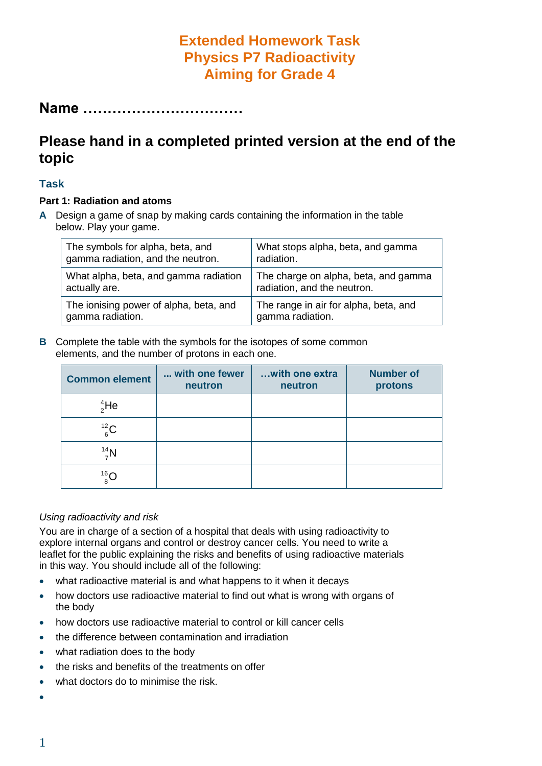# **Extended Homework Task Physics P7 Radioactivity Aiming for Grade 4**

**Name ……………………………**

# **Please hand in a completed printed version at the end of the topic**

#### **Task**

#### **Part 1: Radiation and atoms**

**A** Design a game of snap by making cards containing the information in the table below. Play your game.

| The symbols for alpha, beta, and       | What stops alpha, beta, and gamma     |  |  |
|----------------------------------------|---------------------------------------|--|--|
| gamma radiation, and the neutron.      | radiation.                            |  |  |
| What alpha, beta, and gamma radiation  | The charge on alpha, beta, and gamma  |  |  |
| actually are.                          | radiation, and the neutron.           |  |  |
| The ionising power of alpha, beta, and | The range in air for alpha, beta, and |  |  |
| gamma radiation.                       | gamma radiation.                      |  |  |

**B** Complete the table with the symbols for the isotopes of some common elements, and the number of protons in each one.

| <b>Common element</b> | with one fewer<br>neutron | with one extra<br>neutron | <b>Number of</b><br>protons |
|-----------------------|---------------------------|---------------------------|-----------------------------|
| $^{4}_{2}$ He         |                           |                           |                             |
| $^{12}_{6}$ C         |                           |                           |                             |
| $14^4$ N              |                           |                           |                             |
| $^{16}_{8}$ C         |                           |                           |                             |

#### *Using radioactivity and risk*

You are in charge of a section of a hospital that deals with using radioactivity to explore internal organs and control or destroy cancer cells. You need to write a leaflet for the public explaining the risks and benefits of using radioactive materials in this way. You should include all of the following:

- what radioactive material is and what happens to it when it decays
- how doctors use radioactive material to find out what is wrong with organs of the body
- how doctors use radioactive material to control or kill cancer cells
- the difference between contamination and irradiation
- what radiation does to the body
- the risks and benefits of the treatments on offer
- what doctors do to minimise the risk.
- $\bullet$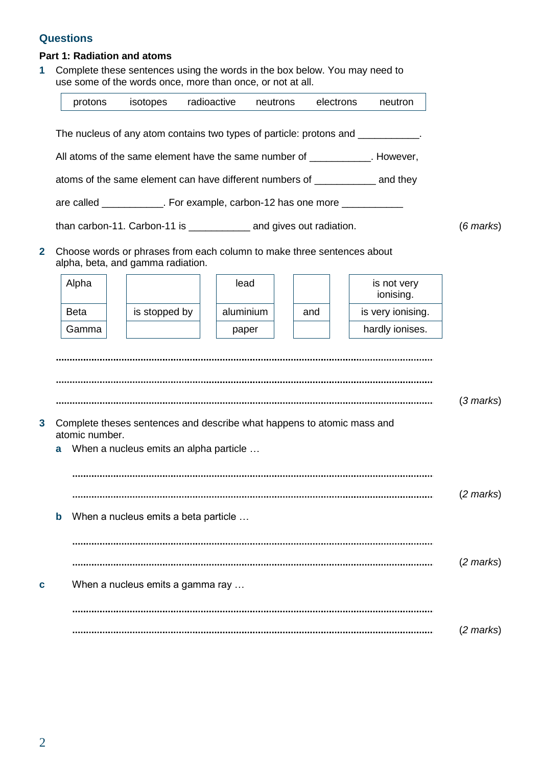### **Questions**

#### **Part 1: Radiation and atoms**

**1** Complete these sentences using the words in the box below. You may need to use some of the words once, more than once, or not at all.

|                                                                                                                  |                                                                  | protons                                                                                  | isotopes                               | radioactive |           | neutrons |     | electrons | neutron                                                                          |  |                     |
|------------------------------------------------------------------------------------------------------------------|------------------------------------------------------------------|------------------------------------------------------------------------------------------|----------------------------------------|-------------|-----------|----------|-----|-----------|----------------------------------------------------------------------------------|--|---------------------|
|                                                                                                                  |                                                                  |                                                                                          |                                        |             |           |          |     |           | The nucleus of any atom contains two types of particle: protons and ___________. |  |                     |
| All atoms of the same element have the same number of ___________. However,                                      |                                                                  |                                                                                          |                                        |             |           |          |     |           |                                                                                  |  |                     |
| atoms of the same element can have different numbers of _______________ and they                                 |                                                                  |                                                                                          |                                        |             |           |          |     |           |                                                                                  |  |                     |
|                                                                                                                  |                                                                  | are called ____________. For example, carbon-12 has one more ____________                |                                        |             |           |          |     |           |                                                                                  |  |                     |
|                                                                                                                  |                                                                  | than carbon-11. Carbon-11 is ______________ and gives out radiation.                     |                                        |             |           |          |     |           |                                                                                  |  | $(6$ marks $)$      |
| 2<br>Choose words or phrases from each column to make three sentences about<br>alpha, beta, and gamma radiation. |                                                                  |                                                                                          |                                        |             |           |          |     |           |                                                                                  |  |                     |
|                                                                                                                  |                                                                  | Alpha                                                                                    |                                        |             | lead      |          |     |           | is not very<br>ionising.                                                         |  |                     |
|                                                                                                                  |                                                                  | <b>Beta</b>                                                                              | is stopped by                          |             | aluminium |          | and |           | is very ionising.                                                                |  |                     |
|                                                                                                                  |                                                                  | Gamma                                                                                    |                                        |             | paper     |          |     |           | hardly ionises.                                                                  |  |                     |
| 3                                                                                                                | a                                                                | Complete theses sentences and describe what happens to atomic mass and<br>atomic number. | When a nucleus emits an alpha particle |             |           |          |     |           |                                                                                  |  | $(3 \text{ marks})$ |
|                                                                                                                  | $(2 \text{ marks})$<br>When a nucleus emits a beta particle<br>b |                                                                                          |                                        |             |           |          |     |           |                                                                                  |  |                     |
|                                                                                                                  |                                                                  |                                                                                          |                                        |             |           |          |     |           |                                                                                  |  |                     |
| C                                                                                                                |                                                                  |                                                                                          | When a nucleus emits a gamma ray       |             |           |          |     |           |                                                                                  |  | $(2 \text{ marks})$ |
|                                                                                                                  |                                                                  |                                                                                          |                                        |             |           |          |     |           |                                                                                  |  | $(2 \text{ marks})$ |
|                                                                                                                  |                                                                  |                                                                                          |                                        |             |           |          |     |           |                                                                                  |  |                     |